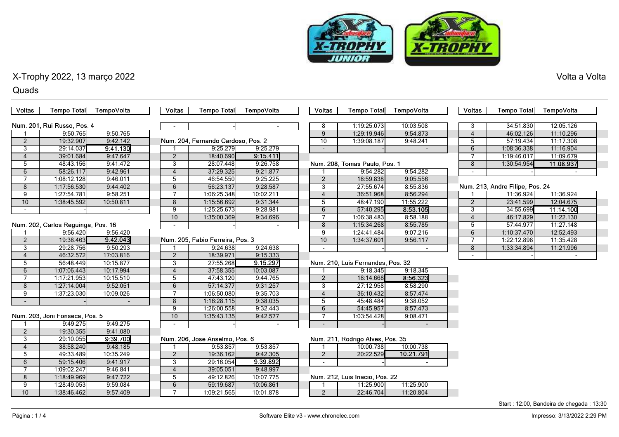

### Quads

| <b>Voltas</b>       | <b>Tempo Total</b>                 | TempoVolta           | <b>Voltas</b>       | <b>Tempo Total</b>                 | TempoVolta             | <b>Voltas</b>   | <b>Tempo Total</b>                          | TempoVolta | Voltas         | <b>Tempo Total</b>              | TempoVolta               |
|---------------------|------------------------------------|----------------------|---------------------|------------------------------------|------------------------|-----------------|---------------------------------------------|------------|----------------|---------------------------------|--------------------------|
|                     |                                    |                      |                     |                                    |                        |                 |                                             |            |                |                                 |                          |
|                     | Num. 201. Rui Russo, Pos. 4        |                      |                     |                                    |                        | 8               | 1:19:25.073                                 | 10:03.508  | 3              | 34:51.830                       | 12:05.126                |
|                     | 9:50.765                           | 9:50.765             |                     |                                    |                        | 9               | 1:29:19.946                                 | 9:54.873   | $\overline{4}$ | 46:02.126                       | 11:10.296                |
| 2                   | 19:32.907                          | 9:42.142             |                     | Num. 204, Fernando Cardoso, Pos. 2 |                        | 10              | 1:39:08.187                                 | 9:48.241   | 5              | 57:19.434                       | 11:17.308                |
| 3                   | 29:14.037                          | 9:41.130             |                     | 9:25.279                           | 9:25.279               | $\sim$          |                                             |            | 6              | 1:08:36.338                     | 11:16.904                |
| $\overline{4}$      | 39:01.684                          | 9:47.647             | 2                   | 18:40.690                          | 9:15.411               |                 |                                             |            | $\overline{7}$ | 1:19:46.017                     | 11:09.679                |
| 5                   | 48:43.156                          | 9:41.472             | $\overline{3}$      | 28:07.448                          | 9:26.758               |                 | Num. 208, Tomas Paulo, Pos. 1               |            | 8              | 1:30:54.954                     | 11:08.937                |
| 6                   | 58:26.117                          | 9:42.961             | $\overline{4}$      | 37:29.325                          | 9:21.877               |                 | 9:54.282                                    | 9:54.282   | $\blacksquare$ |                                 | $\overline{\phantom{a}}$ |
| $\overline{7}$      | 1:08:12.128                        | 9:46.011             | 5                   | 46:54.550                          | 9:25.225               | $\overline{2}$  | 18:59.838                                   | 9:05.556   |                |                                 |                          |
| 8                   | 1:17:56.530                        | 9:44.402             | 6                   | 56:23.137                          | 9:28.587               | 3               | 27:55.674                                   | 8:55.836   |                | Num. 213, Andre Filipe, Pos. 24 |                          |
| 9                   | 1:27:54.781                        | 9:58.251             | 7                   | 1:06:25.348                        | 10:02.211              | $\overline{4}$  | 36:51.968                                   | 8:56.294   |                | 11:36.924                       | 11:36.924                |
| 10                  | 1:38:45.592                        | 10:50.811            | 8                   | 1:15:56.692                        | 9:31.344               | 5               | 48:47.190                                   | 11:55.222  | $\overline{2}$ | 23:41.599                       | 12:04.675                |
|                     |                                    | $\sim$               | 9                   | 1:25:25.673                        | 9:28.981               | 6               | 57:40.295                                   | 8:53.105   | 3              | 34:55.699                       | 11:14.100                |
|                     |                                    |                      | 10                  | 1:35:00.369                        | 9:34.696               | $\overline{7}$  | 1:06:38.483                                 | 8:58.188   | $\overline{4}$ | 46:17.829                       | 11:22.130                |
|                     | Num. 202, Carlos Reguinga, Pos. 16 |                      | $\sim$              |                                    |                        | $\overline{8}$  | 1:15:34.268                                 | 8:55.785   | $\overline{5}$ | 57:44.977                       | 11:27.148                |
|                     | 9:56.420                           | 9:56.420             |                     |                                    |                        | 9               | 1:24:41.484                                 | 9:07.216   | 6              | 1:10:37.470                     | 12:52.493                |
| $\overline{2}$      | 19:38.463                          | 9:42.043             |                     | Num. 205, Fabio Ferreira, Pos. 3   |                        | $\overline{10}$ | 1:34:37.601                                 | 9:56.117   | $\overline{7}$ | 1:22:12.898                     | 11:35.428                |
| 3                   | 29:28.756                          | 9:50.293             |                     | 9:24.638                           | 9:24.638               |                 |                                             |            | 8              | 1:33:34.894                     | 11:21.996                |
| $\overline{4}$      | 46:32.572                          | 17:03.816            | $\overline{2}$      | 18:39.971                          | 9:15.333               |                 |                                             |            |                |                                 |                          |
| 5                   | 56:48.449                          | 10:15.877            | 3                   | 27:55.268                          | 9:15.297               |                 | Num. 210, Luis Fernandes, Pos. 32           |            |                |                                 |                          |
| 6                   | 1:07:06.443                        | 10:17.994            | $\overline{4}$      | 37:58.355                          | 10:03.087              |                 | 9:18.345                                    | 9:18.345   |                |                                 |                          |
| $\overline{7}$      | 1:17:21.953                        | 10:15.510            | 5                   | 47:43.120                          | 9:44.765               | 2               | 18:14.668                                   | 8:56.323   |                |                                 |                          |
| 8                   | 1:27:14.004                        | 9:52.051             | 6                   | 57:14.377                          | 9:31.257               | 3               | 27:12.958                                   | 8:58.290   |                |                                 |                          |
| 9                   | 1:37:23.030                        | 10:09.026            | $\overline{7}$      | 1:06:50.080                        | 9:35.703               | $\overline{4}$  | 36:10.432                                   | 8:57.474   |                |                                 |                          |
| $\sim$              |                                    |                      | 8                   | 1:16:28.115                        | 9:38.035               | 5               | 45:48.484                                   | 9:38.052   |                |                                 |                          |
|                     |                                    |                      | 9                   | 1:26:00.558                        | 9:32.443               | 6               | 54:45.957                                   | 8:57.473   |                |                                 |                          |
|                     | Num. 203, Joni Fonseca, Pos. 5     |                      | 10                  | 1:35:43.135                        | 9:42.577               | $\overline{7}$  | 1:03:54.428                                 | 9:08.471   |                |                                 |                          |
|                     | 9:49.275                           | 9:49.275             | $\overline{a}$      |                                    |                        |                 |                                             |            |                |                                 |                          |
| $\overline{2}$      | 19:30.355                          | 9:41.080             |                     |                                    |                        |                 |                                             |            |                |                                 |                          |
| 3                   | 29:10.055                          | 9:39.700             |                     | Num. 206, Jose Anselmo, Pos. 6     |                        |                 | Num. 211, Rodrigo Alves, Pos. 35            |            |                |                                 |                          |
| $\overline{4}$      | 38:58.240                          | 9:48.185             |                     | 9:53.857                           | 9:53.857               |                 | 10:00.738                                   | 10:00.738  |                |                                 |                          |
| $\overline{5}$      | 49:33.489                          | 10:35.249            | $\overline{2}$      | 19:36.162                          | 9:42.305               | $\overline{2}$  | 20:22.529                                   | 10:21.791  |                |                                 |                          |
| 6<br>$\overline{7}$ | 59:15.406<br>1:09:02.247           | 9:41.917             | 3<br>$\overline{4}$ | 29:16.054                          | 9:39.892               |                 |                                             | $\sim$     |                |                                 |                          |
| 8                   |                                    | 9:46.841<br>9:47.722 | 5                   | 39:05.051                          | 9:48.997               |                 |                                             |            |                |                                 |                          |
| $\overline{9}$      | 1:18:49.969<br>1:28:49.053         | 9:59.084             | 6                   | 49:12.826<br>59:19.687             | 10:07.775<br>10:06.861 |                 | Num. 212, Luis Inacio, Pos. 22<br>11:25.900 | 11:25.900  |                |                                 |                          |
| 10 <sup>1</sup>     |                                    |                      | $\overline{7}$      |                                    | 10:01.878              | 2               | 22:46.704                                   | 11:20.804  |                |                                 |                          |
|                     | 1:38:46.462                        | 9:57.409             |                     | 1:09:21.565                        |                        |                 |                                             |            |                |                                 |                          |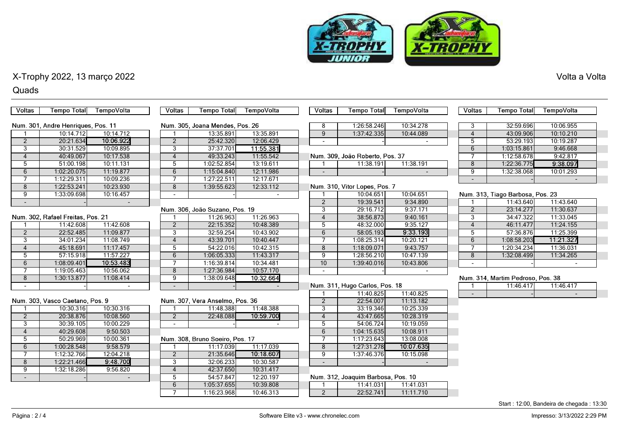

#### Quads

| <b>Voltas</b>  | <b>Tempo Total</b>                 | TempoVolta | Voltas         | <b>Tempo Total</b>              | TempoVolta | Voltas                         | <b>Tempo Total</b>                 | TempoVolta | Voltas                   | <b>Tempo Total</b>                | TempoVolta     |
|----------------|------------------------------------|------------|----------------|---------------------------------|------------|--------------------------------|------------------------------------|------------|--------------------------|-----------------------------------|----------------|
|                |                                    |            |                |                                 |            |                                |                                    |            |                          |                                   |                |
|                | Num. 301, Andre Henriques, Pos. 11 |            |                | Num. 305, Joana Mendes, Pos. 26 |            | 8                              | 1:26:58.246                        | 10:34.278  | 3                        | 32:59.696                         | 10:06.955      |
|                | 10:14.712                          | 10:14.712  |                | 13:35.891                       | 13:35.891  | 9                              | 1:37:42.335                        | 10:44.089  | $\overline{4}$           | 43:09.906                         | 10:10.210      |
| $\overline{2}$ | 20:21.634                          | 10:06.922  | $\overline{2}$ | 25:42.320                       | 12:06.429  | $\overline{a}$                 |                                    |            | 5                        | 53:29.193                         | 10:19.287      |
| 3              | 30:31.529                          | 10:09.895  | 3              | 37:37.701                       | 11:55.381  |                                |                                    |            | 6                        | 1:03:15.861                       | 9:46.668       |
| $\overline{4}$ | 40:49.067                          | 10:17.538  | $\overline{4}$ | 49:33.243                       | 11:55.542  |                                | Num. 309, João Roberto, Pos. 37    |            | $\overline{7}$           | 1:12:58.678                       | 9:42.817       |
| 5              | 51:00.198                          | 10:11.131  | 5              | 1:02:52.854                     | 13:19.611  |                                | 11:38.191                          | 11:38.191  | 8                        | 1:22:36.775                       | 9:38.097       |
| 6              | 1:02:20.075                        | 11:19.877  | 6              | 1:15:04.840                     | 12:11.986  |                                |                                    | $\sim$     | 9                        | 1:32:38.068                       | 10:01.293      |
| $\overline{7}$ | 1:12:29.311                        | 10:09.236  | $\overline{7}$ | 1:27:22.511                     | 12:17.671  |                                |                                    |            | $\blacksquare$           |                                   |                |
| 8              | 1:22:53.241                        | 10:23.930  | 8              | 1:39:55.623                     | 12:33.112  |                                | Num. 310, Vitor Lopes, Pos. 7      |            |                          |                                   |                |
| 9              | 1:33:09.698                        | 10:16.457  |                |                                 |            |                                | 10:04.651                          | 10:04.651  |                          | Num. 313, Tiago Barbosa, Pos. 23  |                |
|                |                                    |            |                |                                 |            | $\overline{2}$                 | 19:39.541                          | 9:34.890   |                          | 11:43.640                         | 11:43.640      |
|                |                                    |            |                | Num. 306, João Suzano, Pos. 19  |            | 3                              | 29:16.712                          | 9:37.171   | $\overline{2}$           | 23:14.277                         | 11:30.637      |
|                | Num. 302, Rafael Freitas, Pos. 21  |            |                | 11:26.963                       | 11:26.963  | $\overline{4}$                 | 38:56.873                          | 9:40.161   | $\overline{3}$           | 34:47.322                         | 11:33.045      |
|                | 11:42.608                          | 11:42.608  | $\overline{2}$ | 22:15.352                       | 10:48.389  | 5                              | 48:32.000                          | 9:35.127   | $\overline{4}$           | 46:11.477                         | 11:24.155      |
| $\overline{2}$ | 22:52.485                          | 11:09.877  | $\overline{3}$ | 32:59.254                       | 10:43.902  | 6                              | 58:05.193                          | 9:33.193   | $5\overline{)}$          | 57:36.876                         | 11:25.399      |
| 3              | 34:01.234                          | 11:08.749  | $\overline{4}$ | 43:39.701                       | 10:40.447  | 7                              | 1:08:25.314                        | 10:20.121  | 6                        | 1:08:58.203                       | 11:21.327      |
| $\overline{4}$ | 45:18.691                          | 11:17.457  | $\overline{5}$ | 54:22.016                       | 10:42.315  | 8                              | 1:18:09.071                        | 9:43.757   |                          | 1:20:34.234                       | 11:36.031      |
| 5              | 57:15.918                          | 11:57.227  | 6              | 1:06:05.333                     | 11:43.317  | 9                              | 1:28:56.210                        | 10:47.139  | 8                        | 1:32:08.499                       | 11:34.265      |
| 6              | 1:08:09.401                        | 10:53.483  | 7              | 1:16:39.814                     | 10:34.481  | 10                             | 1:39:40.016                        | 10:43.806  |                          |                                   |                |
|                | 1:19:05.463                        | 10:56.062  | $\overline{8}$ | 1:27:36.984                     | 10:57.170  |                                |                                    |            |                          |                                   |                |
| 8              | 1:30:13.877                        | 11:08.414  | 9              | 1:38:09.648                     | 10:32.664  |                                |                                    |            |                          | Num. 314, Martim Pedroso, Pos. 38 |                |
| $\overline{a}$ |                                    | $\sim$     |                |                                 |            | Num. 311, Hugo Carlos, Pos. 18 |                                    |            |                          | 11:46.417                         | 11:46.417      |
|                |                                    |            |                |                                 |            | 1                              | 11:40.825                          | 11:40.825  | $\overline{\phantom{a}}$ |                                   | $\blacksquare$ |
|                | Num. 303. Vasco Caetano. Pos. 9    |            |                | Num. 307, Vera Anselmo, Pos. 36 |            | $\overline{2}$                 | 22:54.007                          | 11:13.182  |                          |                                   |                |
|                | 10:30.316                          | 10:30.316  |                | 11:48.388                       | 11:48.388  | 3                              | 33:19.346                          | 10:25.339  |                          |                                   |                |
| $\overline{2}$ | 20:38.876                          | 10:08.560  | $\overline{2}$ | 22:48.088                       | 10:59.700  | $\overline{4}$                 | 43:47.665                          | 10:28.319  |                          |                                   |                |
| 3              | 30:39.105                          | 10:00.229  |                |                                 |            | 5                              | 54:06.724                          | 10:19.059  |                          |                                   |                |
| $\overline{4}$ | 40:29.608                          | 9:50.503   |                |                                 |            | 6                              | 1:04:15.635                        | 10:08.911  |                          |                                   |                |
| $\overline{5}$ | 50:29.969                          | 10:00.361  |                | Num. 308, Bruno Soeiro, Pos. 17 |            | 7                              | 1:17:23.643                        | 13:08.008  |                          |                                   |                |
| 6              | 1:00:28.548                        | 9:58.579   |                | 11:17.039                       | 11:17.039  | 8                              | 1:27:31.278                        | 10:07.635  |                          |                                   |                |
| 7              | 1:12:32.766                        | 12:04.218  | $\overline{2}$ | 21:35.646                       | 10:18.607  | $\overline{9}$                 | 1:37:46.376                        | 10:15.098  |                          |                                   |                |
| 8              | 1:22:21.466                        | 9:48.700   | 3              | 32:06.233                       | 10:30.587  | $\sim$                         |                                    |            |                          |                                   |                |
| 9              | 1:32:18.286                        | 9:56.820   | $\overline{4}$ | 42:37.650                       | 10:31.417  |                                |                                    |            |                          |                                   |                |
| $\sim$         |                                    |            | 5              | 54:57.847                       | 12:20.197  |                                | Num. 312, Joaquim Barbosa, Pos. 10 |            |                          |                                   |                |
|                |                                    |            | 6              | 1:05:37.655                     | 10:39.808  |                                | 11:41.031                          | 11:41.031  |                          |                                   |                |
|                |                                    |            | $\overline{7}$ | 1:16:23.968                     | 10:46.313  | $\overline{2}$                 | 22:52.741                          | 11:11.710  |                          |                                   |                |

Start : 12:00, Bandeira de chegada : 13:30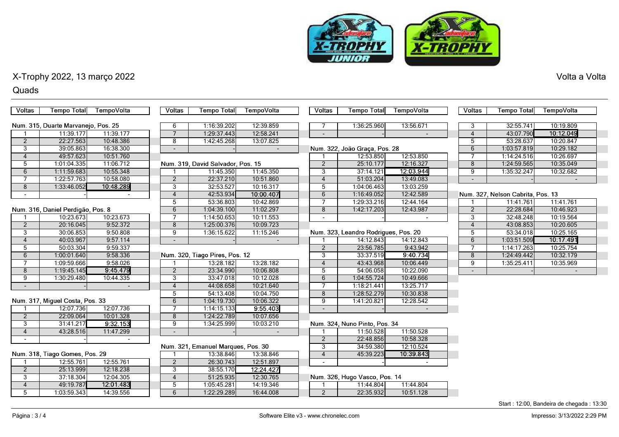

#### Quads

| <b>Voltas</b>                  | <b>Tempo Total</b>                  | TempoVolta               | <b>Voltas</b>  | <b>Tempo Total</b>                 | <b>TempoVolta</b> | <b>Voltas</b>            | <b>Tempo Total</b>                   | TempoVolta | <b>Voltas</b>  | <b>Tempo Total</b>                | TempoVolta |  |
|--------------------------------|-------------------------------------|--------------------------|----------------|------------------------------------|-------------------|--------------------------|--------------------------------------|------------|----------------|-----------------------------------|------------|--|
|                                |                                     |                          |                |                                    |                   |                          |                                      |            |                |                                   |            |  |
|                                | Num. 315, Duarte Marvanejo, Pos. 25 |                          | 6              | 1:16:39.202                        | 12:39.859         |                          | 1:36:25.960                          | 13:56.671  | 3              | 32:55.741                         | 10:19.809  |  |
|                                | 11:39.177                           | 11:39.177                | $\overline{7}$ | 1:29:37.443                        | 12:58.241         |                          |                                      |            | $\overline{4}$ | 43:07.790                         | 10:12.049  |  |
| $\overline{2}$                 | 22:27.563                           | 10:48.386                | 8              | 1:42:45.268                        | 13:07.825         |                          |                                      |            | 5              | 53:28.637                         | 10:20.847  |  |
| 3                              | 39:05.863                           | 16:38.300                |                |                                    |                   |                          | Num. 322, João Graça, Pos. 28        |            | 6              | 1:03:57.819                       | 10:29.182  |  |
| $\overline{4}$                 | 49:57.623                           | 10:51.760                |                |                                    |                   |                          | 12:53.850                            | 12:53.850  |                | 1:14:24.516                       | 10:26.697  |  |
| 5                              | 1:01:04.335                         | 11:06.712                |                | Num. 319, David Salvador, Pos. 15  |                   | 2                        | 25:10.177                            | 12:16.327  | 8              | 1:24:59.565                       | 10:35.049  |  |
| 6                              | 1:11:59.683                         | 10:55.348                |                | 11:45.350                          | 11:45.350         | 3                        | 37:14.121                            | 12:03.944  | 9              | 1:35:32.247                       | 10:32.682  |  |
| $\overline{7}$                 | 1:22:57.763                         | 10:58.080                | $\overline{2}$ | 22:37.210                          | 10:51.860         | $\overline{4}$           | 51:03.204                            | 13:49.083  |                |                                   |            |  |
| 8                              | 1:33:46.052                         | 10:48.289                | 3              | 32:53.527                          | 10:16.317         | 5                        | 1:04:06.463                          | 13:03.259  |                |                                   |            |  |
| $\overline{\phantom{a}}$       |                                     |                          | $\overline{4}$ | 42:53.934                          | 10:00.407         | 6                        | 1:16:49.052                          | 12:42.589  |                | Num. 327, Nelson Cabrita, Pos. 13 |            |  |
|                                |                                     |                          | $\overline{5}$ | 53:36.803                          | 10:42.869         | $\overline{7}$           | 1:29:33.216                          | 12:44.164  |                | 11:41.761                         | 11:41.761  |  |
|                                | Num. 316, Daniel Perdigão, Pos. 8   |                          | 6              | 1:04:39.100                        | 11:02.297         | 8                        | 1:42:17.203                          | 12:43.987  | $\overline{2}$ | 22:28.684                         | 10:46.923  |  |
|                                | 10:23.673                           | 10:23.673                | $\overline{7}$ | 1:14:50.653                        | 10:11.553         | $\overline{a}$           |                                      |            | 3              | 32:48.248                         | 10:19.564  |  |
| $\overline{2}$                 | 20:16.045                           | 9:52.372                 | $\overline{8}$ | 1:25:00.376                        | 10:09.723         |                          |                                      |            | $\overline{4}$ | 43:08.853                         | 10:20.605  |  |
| $\overline{3}$                 | 30:06.853                           | 9:50.808                 | $\overline{9}$ | 1:36:15.622                        | 11:15.246         |                          | Num. 323, Leandro Rodrigues, Pos. 20 |            | 5              | 53:34.018                         | 10:25.165  |  |
| $\overline{4}$                 | 40:03.967                           | 9:57.114                 |                |                                    |                   |                          | 14:12.843                            | 14:12.843  | 6              | 1:03:51.509                       | 10:17.491  |  |
| 5                              | 50:03.304                           | 9:59.337                 |                |                                    |                   | 2                        | 23:56.785                            | 9:43.942   | $\overline{7}$ | 1:14:17.263                       | 10:25.754  |  |
| 6                              | 1:00:01.640                         | 9:58.336                 |                | Num. 320, Tiago Pires, Pos. 12     |                   | $\overline{3}$           | 33:37.519                            | 9:40.734   | 8              | 1:24:49.442                       | 10:32.179  |  |
| $\overline{7}$                 | 1:09:59.666                         | 9:58.026                 |                | 13:28.182                          | 13:28.182         | $\overline{4}$           | 43:43.968                            | 10:06.449  | 9              | 1:35:25.411                       | 10:35.969  |  |
| 8                              | 1:19:45.145                         | 9:45.479                 | $\overline{2}$ | 23:34.990                          | 10:06.808         | $\overline{5}$           | 54:06.058                            | 10:22.090  |                |                                   |            |  |
| 9                              | 1:30:29.480                         | 10:44.335                | 3              | 33:47.018                          | 10:12.028         | 6                        | 1:04:55.724                          | 10:49.666  |                |                                   |            |  |
| $\blacksquare$                 |                                     | $\overline{\phantom{a}}$ | $\overline{4}$ | 44:08.658                          | 10:21.640         | 7                        | 1:18:21.441                          | 13:25.717  |                |                                   |            |  |
|                                |                                     |                          | 5              | 54:13.408                          | 10:04.750         | 8                        | 1:28:52.279                          | 10:30.838  |                |                                   |            |  |
|                                | Num. 317, Miguel Costa, Pos. 33     |                          | 6              | 1:04:19.730                        | 10:06.322         | 9                        | 1:41:20.821                          | 12:28.542  |                |                                   |            |  |
|                                | 12:07.736                           | 12:07.736                | 7              | 1:14:15.133                        | 9:55.403          | $\blacksquare$           |                                      |            |                |                                   |            |  |
| $\overline{2}$                 | 22:09.064                           | 10:01.328                | 8              | 1:24:22.789                        | 10:07.656         |                          |                                      |            |                |                                   |            |  |
| 3                              | 31:41.217                           | 9:32.153                 | 9              | 1:34:25.999                        | 10:03.210         |                          | Num. 324, Nuno Pinto, Pos. 34        |            |                |                                   |            |  |
| $\overline{4}$                 | 43:28.516                           | 11:47.299                | $\blacksquare$ |                                    |                   |                          | 11:50.528                            | 11:50.528  |                |                                   |            |  |
| $\sim$                         |                                     |                          |                |                                    |                   | $\overline{2}$           | 22:48.856                            | 10:58.328  |                |                                   |            |  |
|                                |                                     |                          |                | Num. 321, Emanuel Marques, Pos. 30 |                   | 3                        | 34:59.380                            | 12:10.524  |                |                                   |            |  |
| Num. 318, Tiago Gomes, Pos. 29 |                                     |                          |                | 13:38.846                          | 13:38.846         | $\overline{4}$           | 45:39.223                            | 10:39.843  |                |                                   |            |  |
|                                | 12:55.761                           | 12:55.761                | $\overline{2}$ | 26:30.743                          | 12:51.897         | $\overline{\phantom{a}}$ |                                      |            |                |                                   |            |  |
| $\overline{2}$                 | 25:13.999                           | 12:18.238                | 3              | 38:55.170                          | 12:24.427         |                          |                                      |            |                |                                   |            |  |
| 3                              | 37:18.304                           | 12:04.305                | $\overline{4}$ | 51:25.935                          | 12:30.765         |                          | Num. 326, Hugo Vasco, Pos. 14        |            |                |                                   |            |  |
| $\overline{4}$                 | 49:19.787                           | 12:01.483                | $\overline{5}$ | 1:05:45.281                        | 14:19.346         |                          | 11:44.804                            | 11:44.804  |                |                                   |            |  |
| 5                              | 1:03:59.343                         | 14:39.556                | 6              | 1:22:29.289                        | 16:44.008         | $\overline{2}$           | 22:35.932                            | 10:51.128  |                |                                   |            |  |

Start : 12:00, Bandeira de chegada : 13:30